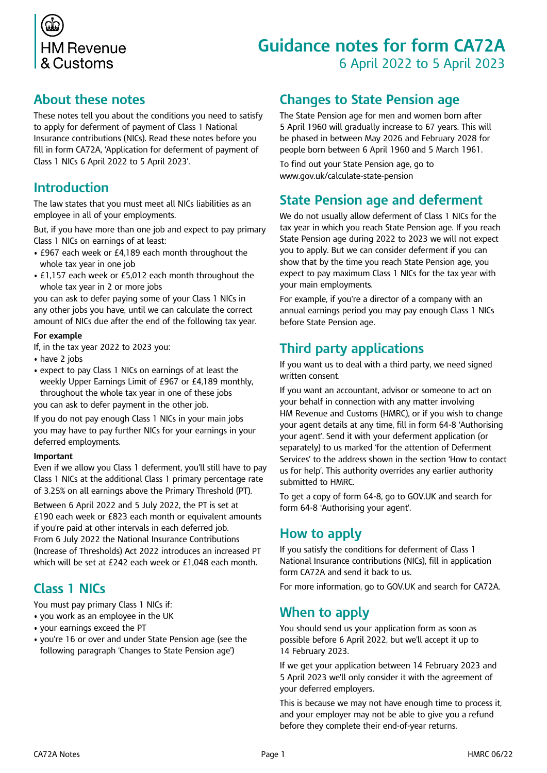

# **Guidance notes for form CA72A** 6 April 2022 to 5 April 2023

#### **About these notes**

These notes tell you about the conditions you need to satisfy to apply for deferment of payment of Class 1 National Insurance contributions (NICs). Read these notes before you fill in form CA72A, 'Application for deferment of payment of Class 1 NICs 6 April 2022 to 5 April 2023'.

#### **Introduction**

The law states that you must meet all NICs liabilities as an employee in all of your employments.

But, if you have more than one job and expect to pay primary Class 1 NICs on earnings of at least:

- £967 each week or £4,189 each month throughout the whole tax year in one job
- £1,157 each week or £5,012 each month throughout the whole tax year in 2 or more jobs

you can ask to defer paying some of your Class 1 NICs in any other jobs you have, until we can calculate the correct amount of NICs due after the end of the following tax year.

#### **For example**

If, in the tax year 2022 to 2023 you:

- have 2 jobs
- expect to pay Class 1 NICs on earnings of at least the weekly Upper Earnings Limit of £967 or £4,189 monthly, throughout the whole tax year in one of these jobs you can ask to defer payment in the other job.

If you do not pay enough Class 1 NICs in your main jobs you may have to pay further NICs for your earnings in your deferred employments.

#### **Important**

Even if we allow you Class 1 deferment, you'll still have to pay Class 1 NICs at the additional Class 1 primary percentage rate of 3.25% on all earnings above the Primary Threshold (PT).

Between 6 April 2022 and 5 July 2022, the PT is set at £190 each week or £823 each month or equivalent amounts if you're paid at other intervals in each deferred job. From 6 July 2022 the National Insurance Contributions (Increase of Thresholds) Act 2022 introduces an increased PT which will be set at £242 each week or £1,048 each month.

## **Class 1 NICs**

You must pay primary Class 1 NICs if:

- you work as an employee in the UK
- your earnings exceed the PT
- you're 16 or over and under State Pension age (see the following paragraph 'Changes to State Pension age')

### **Changes to State Pension age**

The State Pension age for men and women born after 5 April 1960 will gradually increase to 67 years. This will be phased in between May 2026 and February 2028 for people born between 6 April 1960 and 5 March 1961.

To find out your State Pension age, go to [www.gov.uk/calculate-state-pension](http://www.gov.uk/calculate-state-pension)

## **State Pension age and deferment**

We do not usually allow deferment of Class 1 NICs for the tax year in which you reach State Pension age. If you reach State Pension age during 2022 to 2023 we will not expect you to apply. But we can consider deferment if you can show that by the time you reach State Pension age, you expect to pay maximum Class 1 NICs for the tax year with your main employments.

For example, if you're a director of a company with an annual earnings period you may pay enough Class 1 NICs before State Pension age.

## **Third party applications**

If you want us to deal with a third party, we need signed written consent.

If you want an accountant, advisor or someone to act on your behalf in connection with any matter involving HM Revenue and Customs (HMRC), or if you wish to change your agent details at any time, fill in form 64-8 'Authorising your agent'*.* Send it with your deferment application (or separately) to us marked 'for the attention of Deferment Services' to the address shown in the section 'How to contact us for help'. This authority overrides any earlier authority submitted to HMRC.

To get a copy of form 64-8, go to [GOV.UK](http://www.gov.uk) and search for form 64-8 'Authorising your agent'.

## **How to apply**

If you satisfy the conditions for deferment of Class 1 National Insurance contributions (NICs), fill in application form CA72A and send it back to us.

For more information, go to [GOV.UK](http://www.gov.uk) and search for CA72A.

## **When to apply**

You should send us your application form as soon as possible before 6 April 2022, but we'll accept it up to 14 February 2023.

If we get your application between 14 February 2023 and 5 April 2023 we'll only consider it with the agreement of your deferred employers.

This is because we may not have enough time to process it, and your employer may not be able to give you a refund before they complete their end-of-year returns.